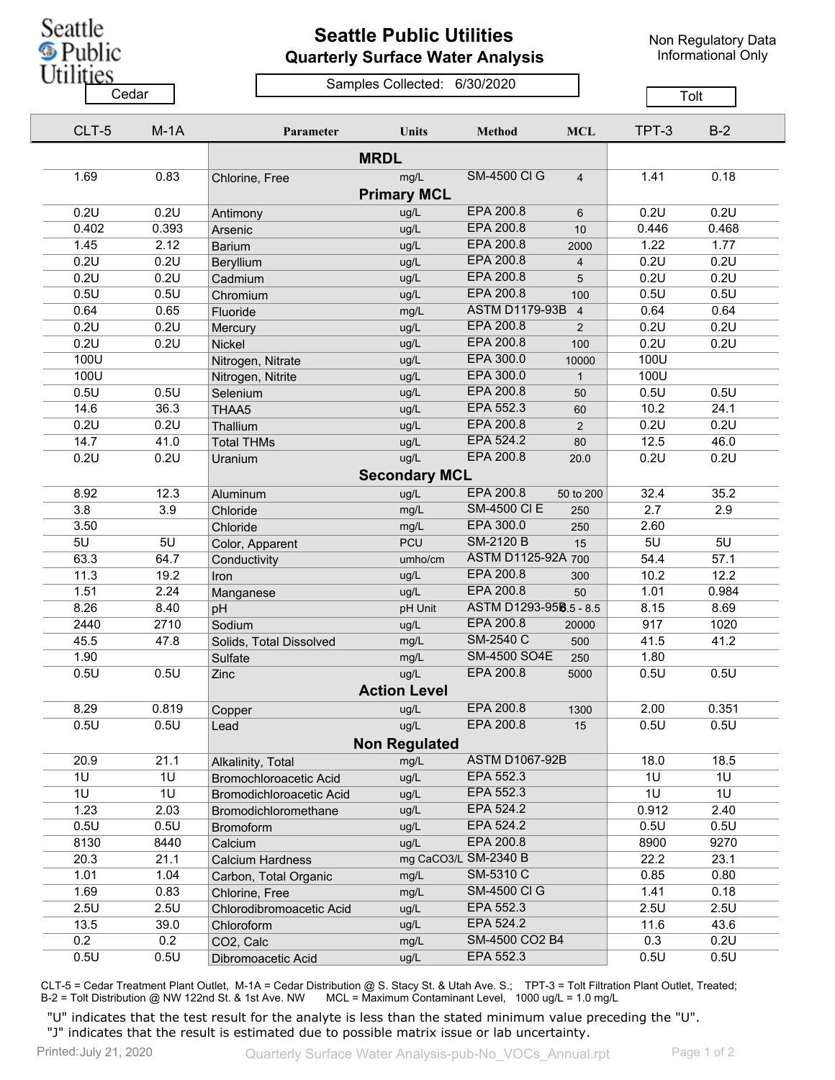## **Seattle Public Utilities Quarterly Surface Water Analysis**

Non Regulatory Data Informational Only

## Samples Collected: 6/30/2020 Cedar **Cedar** Cedar Cedar Cedar Contract Cedar Tolt

| CLT-5 | $M-1A$         | Parameter                | Units                | <b>Method</b>          | <b>MCL</b>     | TPT-3 | $B-2$ |  |
|-------|----------------|--------------------------|----------------------|------------------------|----------------|-------|-------|--|
|       |                |                          | <b>MRDL</b>          |                        |                |       |       |  |
| 1.69  | 0.83           | Chlorine, Free           | mg/L                 | <b>SM-4500 CI G</b>    | $\overline{4}$ | 1.41  | 0.18  |  |
|       |                |                          | <b>Primary MCL</b>   |                        |                |       |       |  |
| 0.2U  | 0.2U           | Antimony                 | ug/L                 | EPA 200.8              | 6              | 0.2U  | 0.2U  |  |
| 0.402 | 0.393          | Arsenic                  | ug/L                 | EPA 200.8              | 10             | 0.446 | 0.468 |  |
| 1.45  | 2.12           | <b>Barium</b>            | ug/L                 | EPA 200.8              | 2000           | 1.22  | 1.77  |  |
| 0.2U  | 0.2U           | Beryllium                | ug/L                 | EPA 200.8              | $\overline{4}$ | 0.2U  | 0.2U  |  |
| 0.2U  | 0.2U           | Cadmium                  | ug/L                 | EPA 200.8              | 5              | 0.2U  | 0.2U  |  |
| 0.5U  | 0.5U           | Chromium                 | ug/L                 | EPA 200.8              | 100            | 0.5U  | 0.5U  |  |
| 0.64  | 0.65           | Fluoride                 | mg/L                 | <b>ASTM D1179-93B</b>  | $\overline{4}$ | 0.64  | 0.64  |  |
| 0.2U  | 0.2U           | Mercury                  | ug/L                 | EPA 200.8              | 2              | 0.2U  | 0.2U  |  |
| 0.2U  | 0.2U           | Nickel                   | ug/L                 | EPA 200.8              | 100            | 0.2U  | 0.2U  |  |
| 100U  |                | Nitrogen, Nitrate        | ug/L                 | EPA 300.0              | 10000          | 100U  |       |  |
| 100U  |                | Nitrogen, Nitrite        | ug/L                 | EPA 300.0              | $\mathbf{1}$   | 100U  |       |  |
| 0.5U  | 0.5U           | Selenium                 | ug/L                 | EPA 200.8              | 50             | 0.5U  | 0.5U  |  |
| 14.6  | 36.3           | THAA5                    | ug/L                 | EPA 552.3              | 60             | 10.2  | 24.1  |  |
| 0.2U  | 0.2U           | Thallium                 | ug/L                 | EPA 200.8              | 2              | 0.2U  | 0.2U  |  |
| 14.7  | 41.0           | <b>Total THMs</b>        | ug/L                 | EPA 524.2              | 80             | 12.5  | 46.0  |  |
| 0.2U  | 0.2U           | Uranium                  | ug/L                 | EPA 200.8              | 20.0           | 0.2U  | 0.2U  |  |
|       |                |                          | <b>Secondary MCL</b> |                        |                |       |       |  |
| 8.92  | 12.3           | Aluminum                 | ug/L                 | EPA 200.8              | 50 to 200      | 32.4  | 35.2  |  |
| 3.8   | 3.9            | Chloride                 | mg/L                 | <b>SM-4500 CI E</b>    | 250            | 2.7   | 2.9   |  |
| 3.50  |                | Chloride                 | mg/L                 | EPA 300.0              | 250            | 2.60  |       |  |
| 5U    | 5U             | Color, Apparent          | <b>PCU</b>           | <b>SM-2120 B</b>       | 15             | 5U    | 5U    |  |
| 63.3  | 64.7           | Conductivity             | umho/cm              | ASTM D1125-92A 700     |                | 54.4  | 57.1  |  |
| 11.3  | 19.2           | Iron                     | ug/L                 | EPA 200.8              | 300            | 10.2  | 12.2  |  |
| 1.51  | 2.24           | Manganese                | ug/L                 | EPA 200.8              | 50             | 1.01  | 0.984 |  |
| 8.26  | 8.40           | pH                       | pH Unit              | ASTM D1293-958.5 - 8.5 |                | 8.15  | 8.69  |  |
| 2440  | 2710           | Sodium                   | ug/L                 | EPA 200.8              | 20000          | 917   | 1020  |  |
| 45.5  | 47.8           | Solids, Total Dissolved  | mg/L                 | <b>SM-2540 C</b>       | 500            | 41.5  | 41.2  |  |
| 1.90  |                | Sulfate                  | mg/L                 | SM-4500 SO4E           | 250            | 1.80  |       |  |
| 0.5U  | 0.5U           | Zinc                     | ug/L                 | EPA 200.8              | 5000           | 0.5U  | 0.5U  |  |
|       |                |                          | <b>Action Level</b>  |                        |                |       |       |  |
| 8.29  | 0.819          | Copper                   | ug/L                 | EPA 200.8              | 1300           | 2.00  | 0.351 |  |
| 0.5U  | 0.5U           | Lead                     | ug/L                 | EPA 200.8              | 15             | 0.5U  | 0.5U  |  |
|       |                |                          | <b>Non Regulated</b> |                        |                |       |       |  |
| 20.9  | 21.1           | Alkalinity, Total        | mg/L                 | <b>ASTM D1067-92B</b>  |                | 18.0  | 18.5  |  |
| 1U    | 1U             | Bromochloroacetic Acid   | ug/L                 | EPA 552.3              |                | 1U    | 1U    |  |
| 1U    | 1 <sub>U</sub> | Bromodichloroacetic Acid | ug/L                 | EPA 552.3              |                | 1U    | 1U    |  |
| 1.23  | 2.03           | Bromodichloromethane     | ug/L                 | EPA 524.2              |                | 0.912 | 2.40  |  |
| 0.5U  | 0.5U           | Bromoform                | ug/L                 | EPA 524.2              |                | 0.5U  | 0.5U  |  |
| 8130  | 8440           | Calcium                  | ug/L                 | EPA 200.8              |                | 8900  | 9270  |  |
| 20.3  | 21.1           | <b>Calcium Hardness</b>  |                      | mg CaCO3/L SM-2340 B   |                | 22.2  | 23.1  |  |
| 1.01  | 1.04           | Carbon, Total Organic    | mg/L                 | SM-5310 C              |                | 0.85  | 0.80  |  |
| 1.69  | 0.83           | Chlorine, Free           | mg/L                 | <b>SM-4500 CI G</b>    |                | 1.41  | 0.18  |  |
| 2.5U  | 2.5U           | Chlorodibromoacetic Acid | ug/L                 | EPA 552.3              |                | 2.5U  | 2.5U  |  |
| 13.5  | 39.0           | Chloroform               | ug/L                 | EPA 524.2              |                | 11.6  | 43.6  |  |
| 0.2   | 0.2            | CO2, Calc                | mg/L                 | SM-4500 CO2 B4         |                | 0.3   | 0.2U  |  |
| 0.5U  | 0.5U           | Dibromoacetic Acid       | ug/L                 | EPA 552.3              |                | 0.5U  | 0.5U  |  |
|       |                |                          |                      |                        |                |       |       |  |

CLT-5 = Cedar Treatment Plant Outlet, M-1A = Cedar Distribution @ S. Stacy St. & Utah Ave. S.; TPT-3 = Tolt Filtration Plant Outlet, Treated; B-2 = Tolt Distribution @ NW 122nd St. & 1st Ave. NW MCL = Maximum Contaminant Level, 1000 ug/L = 1.0 mg/L

"U" indicates that the test result for the analyte is less than the stated minimum value preceding the "U". "J" indicates that the result is estimated due to possible matrix issue or lab uncertainty.